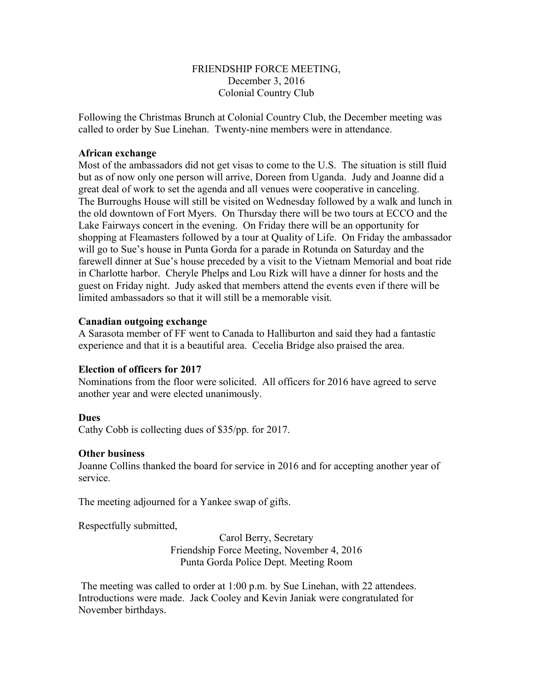# FRIENDSHIP FORCE MEETING, December 3, 2016 Colonial Country Club

Following the Christmas Brunch at Colonial Country Club, the December meeting was called to order by Sue Linehan. Twenty-nine members were in attendance.

### **African exchange**

Most of the ambassadors did not get visas to come to the U.S. The situation is still fluid but as of now only one person will arrive, Doreen from Uganda. Judy and Joanne did a great deal of work to set the agenda and all venues were cooperative in canceling. The Burroughs House will still be visited on Wednesday followed by a walk and lunch in the old downtown of Fort Myers. On Thursday there will be two tours at ECCO and the Lake Fairways concert in the evening. On Friday there will be an opportunity for shopping at Fleamasters followed by a tour at Quality of Life. On Friday the ambassador will go to Sue's house in Punta Gorda for a parade in Rotunda on Saturday and the farewell dinner at Sue's house preceded by a visit to the Vietnam Memorial and boat ride in Charlotte harbor. Cheryle Phelps and Lou Rizk will have a dinner for hosts and the guest on Friday night. Judy asked that members attend the events even if there will be limited ambassadors so that it will still be a memorable visit.

### **Canadian outgoing exchange**

A Sarasota member of FF went to Canada to Halliburton and said they had a fantastic experience and that it is a beautiful area. Cecelia Bridge also praised the area.

# **Election of officers for 2017**

Nominations from the floor were solicited. All officers for 2016 have agreed to serve another year and were elected unanimously.

#### **Dues**

Cathy Cobb is collecting dues of \$35/pp. for 2017.

#### **Other business**

Joanne Collins thanked the board for service in 2016 and for accepting another year of service.

The meeting adjourned for a Yankee swap of gifts.

Respectfully submitted,

Carol Berry, Secretary Friendship Force Meeting, November 4, 2016 Punta Gorda Police Dept. Meeting Room

 The meeting was called to order at 1:00 p.m. by Sue Linehan, with 22 attendees. Introductions were made. Jack Cooley and Kevin Janiak were congratulated for November birthdays.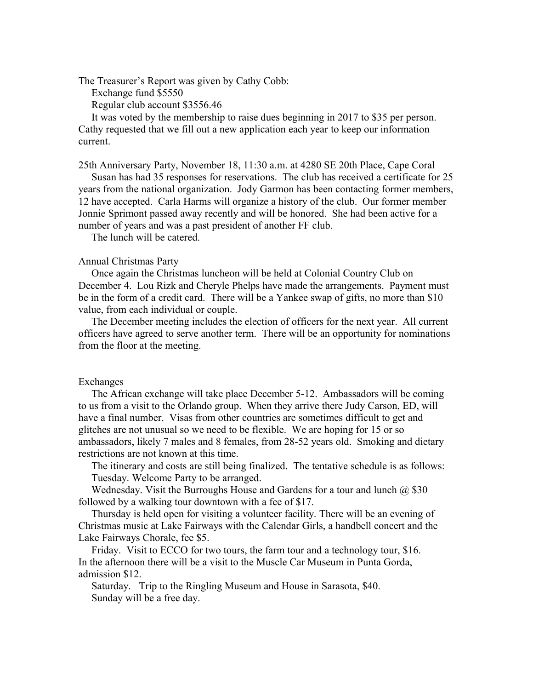The Treasurer's Report was given by Cathy Cobb:

Exchange fund \$5550

Regular club account \$3556.46

 It was voted by the membership to raise dues beginning in 2017 to \$35 per person. Cathy requested that we fill out a new application each year to keep our information current.

25th Anniversary Party, November 18, 11:30 a.m. at 4280 SE 20th Place, Cape Coral

 Susan has had 35 responses for reservations. The club has received a certificate for 25 years from the national organization. Jody Garmon has been contacting former members, 12 have accepted. Carla Harms will organize a history of the club. Our former member Jonnie Sprimont passed away recently and will be honored. She had been active for a number of years and was a past president of another FF club.

The lunch will be catered.

#### Annual Christmas Party

 Once again the Christmas luncheon will be held at Colonial Country Club on December 4. Lou Rizk and Cheryle Phelps have made the arrangements. Payment must be in the form of a credit card. There will be a Yankee swap of gifts, no more than \$10 value, from each individual or couple.

 The December meeting includes the election of officers for the next year. All current officers have agreed to serve another term. There will be an opportunity for nominations from the floor at the meeting.

#### Exchanges

 The African exchange will take place December 5-12. Ambassadors will be coming to us from a visit to the Orlando group. When they arrive there Judy Carson, ED, will have a final number. Visas from other countries are sometimes difficult to get and glitches are not unusual so we need to be flexible. We are hoping for 15 or so ambassadors, likely 7 males and 8 females, from 28-52 years old. Smoking and dietary restrictions are not known at this time.

 The itinerary and costs are still being finalized. The tentative schedule is as follows: Tuesday. Welcome Party to be arranged.

Wednesday. Visit the Burroughs House and Gardens for a tour and lunch  $(a)$  \$30 followed by a walking tour downtown with a fee of \$17.

 Thursday is held open for visiting a volunteer facility. There will be an evening of Christmas music at Lake Fairways with the Calendar Girls, a handbell concert and the Lake Fairways Chorale, fee \$5.

 Friday. Visit to ECCO for two tours, the farm tour and a technology tour, \$16. In the afternoon there will be a visit to the Muscle Car Museum in Punta Gorda, admission \$12.

 Saturday. Trip to the Ringling Museum and House in Sarasota, \$40. Sunday will be a free day.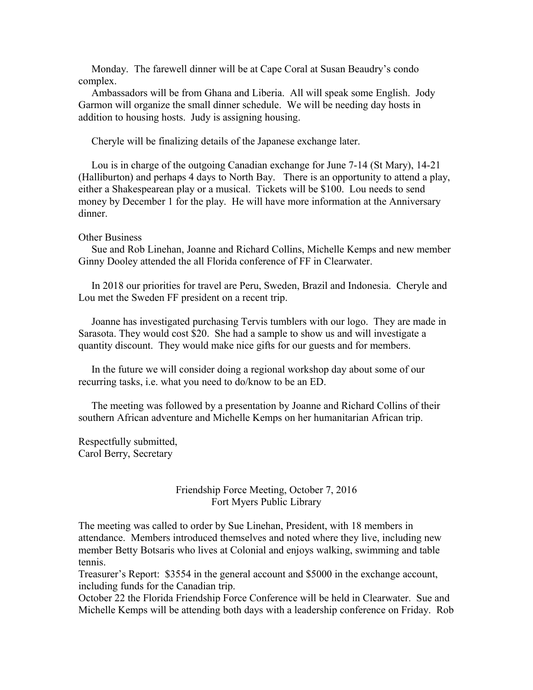Monday. The farewell dinner will be at Cape Coral at Susan Beaudry's condo complex.

 Ambassadors will be from Ghana and Liberia. All will speak some English. Jody Garmon will organize the small dinner schedule. We will be needing day hosts in addition to housing hosts. Judy is assigning housing.

Cheryle will be finalizing details of the Japanese exchange later.

 Lou is in charge of the outgoing Canadian exchange for June 7-14 (St Mary), 14-21 (Halliburton) and perhaps 4 days to North Bay. There is an opportunity to attend a play, either a Shakespearean play or a musical. Tickets will be \$100. Lou needs to send money by December 1 for the play. He will have more information at the Anniversary dinner.

#### Other Business

 Sue and Rob Linehan, Joanne and Richard Collins, Michelle Kemps and new member Ginny Dooley attended the all Florida conference of FF in Clearwater.

 In 2018 our priorities for travel are Peru, Sweden, Brazil and Indonesia. Cheryle and Lou met the Sweden FF president on a recent trip.

 Joanne has investigated purchasing Tervis tumblers with our logo. They are made in Sarasota. They would cost \$20. She had a sample to show us and will investigate a quantity discount. They would make nice gifts for our guests and for members.

 In the future we will consider doing a regional workshop day about some of our recurring tasks, i.e. what you need to do/know to be an ED.

 The meeting was followed by a presentation by Joanne and Richard Collins of their southern African adventure and Michelle Kemps on her humanitarian African trip.

Respectfully submitted, Carol Berry, Secretary

### Friendship Force Meeting, October 7, 2016 Fort Myers Public Library

The meeting was called to order by Sue Linehan, President, with 18 members in attendance. Members introduced themselves and noted where they live, including new member Betty Botsaris who lives at Colonial and enjoys walking, swimming and table tennis.

Treasurer's Report: \$3554 in the general account and \$5000 in the exchange account, including funds for the Canadian trip.

October 22 the Florida Friendship Force Conference will be held in Clearwater. Sue and Michelle Kemps will be attending both days with a leadership conference on Friday. Rob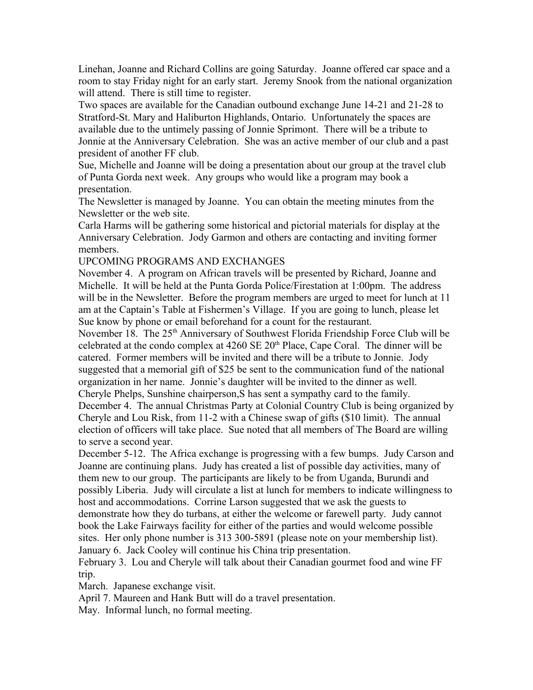Linehan, Joanne and Richard Collins are going Saturday. Joanne offered car space and a room to stay Friday night for an early start. Jeremy Snook from the national organization will attend. There is still time to register.

Two spaces are available for the Canadian outbound exchange June 14-21 and 21-28 to Stratford-St. Mary and Haliburton Highlands, Ontario. Unfortunately the spaces are available due to the untimely passing of Jonnie Sprimont. There will be a tribute to Jonnie at the Anniversary Celebration. She was an active member of our club and a past president of another FF club.

Sue, Michelle and Joanne will be doing a presentation about our group at the travel club of Punta Gorda next week. Any groups who would like a program may book a presentation.

The Newsletter is managed by Joanne. You can obtain the meeting minutes from the Newsletter or the web site.

Carla Harms will be gathering some historical and pictorial materials for display at the Anniversary Celebration. Jody Garmon and others are contacting and inviting former members.

UPCOMING PROGRAMS AND EXCHANGES

November 4. A program on African travels will be presented by Richard, Joanne and Michelle. It will be held at the Punta Gorda Police/Firestation at 1:00pm. The address will be in the Newsletter. Before the program members are urged to meet for lunch at 11 am at the Captain's Table at Fishermen's Village. If you are going to lunch, please let Sue know by phone or email beforehand for a count for the restaurant.

November 18. The 25<sup>th</sup> Anniversary of Southwest Florida Friendship Force Club will be celebrated at the condo complex at  $4260 \text{ SE } 20^{\text{th}}$  Place, Cape Coral. The dinner will be catered. Former members will be invited and there will be a tribute to Jonnie. Jody suggested that a memorial gift of \$25 be sent to the communication fund of the national organization in her name. Jonnie's daughter will be invited to the dinner as well. Cheryle Phelps, Sunshine chairperson,S has sent a sympathy card to the family.

December 4. The annual Christmas Party at Colonial Country Club is being organized by Cheryle and Lou Risk, from 11-2 with a Chinese swap of gifts (\$10 limit). The annual election of officers will take place. Sue noted that all members of The Board are willing to serve a second year.

December 5-12. The Africa exchange is progressing with a few bumps. Judy Carson and Joanne are continuing plans. Judy has created a list of possible day activities, many of them new to our group. The participants are likely to be from Uganda, Burundi and possibly Liberia. Judy will circulate a list at lunch for members to indicate willingness to host and accommodations. Corrine Larson suggested that we ask the guests to demonstrate how they do turbans, at either the welcome or farewell party. Judy cannot book the Lake Fairways facility for either of the parties and would welcome possible sites. Her only phone number is 313 300-5891 (please note on your membership list). January 6. Jack Cooley will continue his China trip presentation.

February 3. Lou and Cheryle will talk about their Canadian gourmet food and wine FF trip.

March. Japanese exchange visit.

April 7. Maureen and Hank Butt will do a travel presentation.

May. Informal lunch, no formal meeting.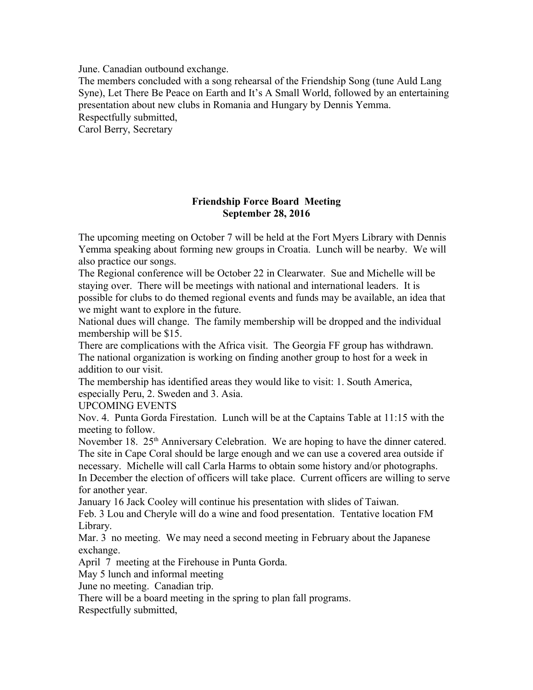June. Canadian outbound exchange.

The members concluded with a song rehearsal of the Friendship Song (tune Auld Lang Syne), Let There Be Peace on Earth and It's A Small World, followed by an entertaining presentation about new clubs in Romania and Hungary by Dennis Yemma. Respectfully submitted,

Carol Berry, Secretary

# **Friendship Force Board Meeting September 28, 2016**

The upcoming meeting on October 7 will be held at the Fort Myers Library with Dennis Yemma speaking about forming new groups in Croatia. Lunch will be nearby. We will also practice our songs.

The Regional conference will be October 22 in Clearwater. Sue and Michelle will be staying over. There will be meetings with national and international leaders. It is possible for clubs to do themed regional events and funds may be available, an idea that we might want to explore in the future.

National dues will change. The family membership will be dropped and the individual membership will be \$15.

There are complications with the Africa visit. The Georgia FF group has withdrawn. The national organization is working on finding another group to host for a week in addition to our visit.

The membership has identified areas they would like to visit: 1. South America, especially Peru, 2. Sweden and 3. Asia.

UPCOMING EVENTS

Nov. 4. Punta Gorda Firestation. Lunch will be at the Captains Table at 11:15 with the meeting to follow.

November 18.  $25<sup>th</sup>$  Anniversary Celebration. We are hoping to have the dinner catered. The site in Cape Coral should be large enough and we can use a covered area outside if necessary. Michelle will call Carla Harms to obtain some history and/or photographs. In December the election of officers will take place. Current officers are willing to serve

for another year.

January 16 Jack Cooley will continue his presentation with slides of Taiwan.

Feb. 3 Lou and Cheryle will do a wine and food presentation. Tentative location FM Library.

Mar. 3 no meeting. We may need a second meeting in February about the Japanese exchange.

April 7 meeting at the Firehouse in Punta Gorda.

May 5 lunch and informal meeting

June no meeting. Canadian trip.

There will be a board meeting in the spring to plan fall programs.

Respectfully submitted,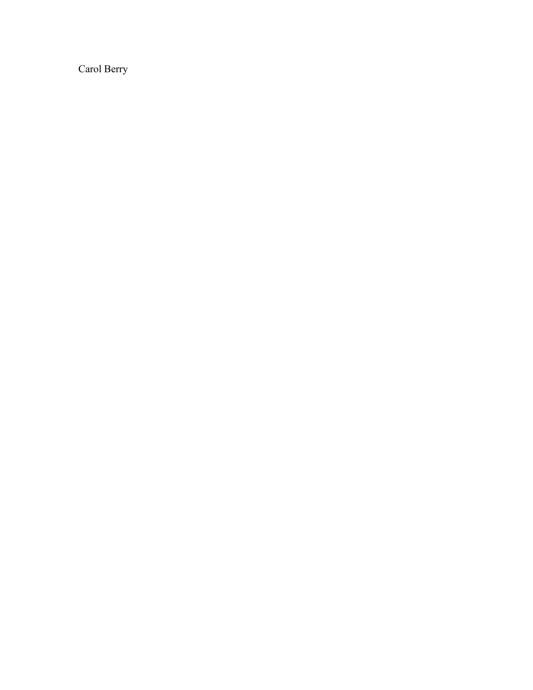Carol Berry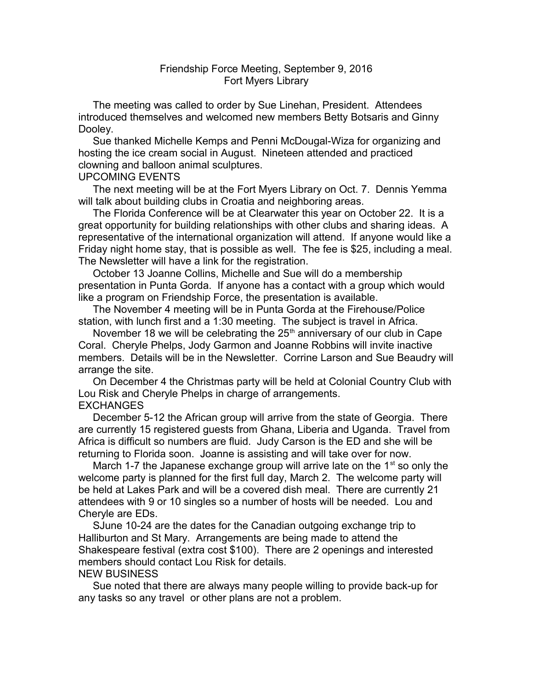# Friendship Force Meeting, September 9, 2016 Fort Myers Library

 The meeting was called to order by Sue Linehan, President. Attendees introduced themselves and welcomed new members Betty Botsaris and Ginny Dooley.

 Sue thanked Michelle Kemps and Penni McDougal-Wiza for organizing and hosting the ice cream social in August. Nineteen attended and practiced clowning and balloon animal sculptures.

### UPCOMING EVENTS

 The next meeting will be at the Fort Myers Library on Oct. 7. Dennis Yemma will talk about building clubs in Croatia and neighboring areas.

 The Florida Conference will be at Clearwater this year on October 22. It is a great opportunity for building relationships with other clubs and sharing ideas. A representative of the international organization will attend. If anyone would like a Friday night home stay, that is possible as well. The fee is \$25, including a meal. The Newsletter will have a link for the registration.

 October 13 Joanne Collins, Michelle and Sue will do a membership presentation in Punta Gorda. If anyone has a contact with a group which would like a program on Friendship Force, the presentation is available.

 The November 4 meeting will be in Punta Gorda at the Firehouse/Police station, with lunch first and a 1:30 meeting. The subject is travel in Africa.

November 18 we will be celebrating the  $25<sup>th</sup>$  anniversary of our club in Cape Coral. Cheryle Phelps, Jody Garmon and Joanne Robbins will invite inactive members. Details will be in the Newsletter. Corrine Larson and Sue Beaudry will arrange the site.

 On December 4 the Christmas party will be held at Colonial Country Club with Lou Risk and Cheryle Phelps in charge of arrangements. EXCHANGES

 December 5-12 the African group will arrive from the state of Georgia. There are currently 15 registered guests from Ghana, Liberia and Uganda. Travel from Africa is difficult so numbers are fluid. Judy Carson is the ED and she will be returning to Florida soon. Joanne is assisting and will take over for now.

March 1-7 the Japanese exchange group will arrive late on the  $1<sup>st</sup>$  so only the welcome party is planned for the first full day, March 2. The welcome party will be held at Lakes Park and will be a covered dish meal. There are currently 21 attendees with 9 or 10 singles so a number of hosts will be needed. Lou and Cheryle are EDs.

 SJune 10-24 are the dates for the Canadian outgoing exchange trip to Halliburton and St Mary. Arrangements are being made to attend the Shakespeare festival (extra cost \$100). There are 2 openings and interested members should contact Lou Risk for details.

### NEW BUSINESS

 Sue noted that there are always many people willing to provide back-up for any tasks so any travel or other plans are not a problem.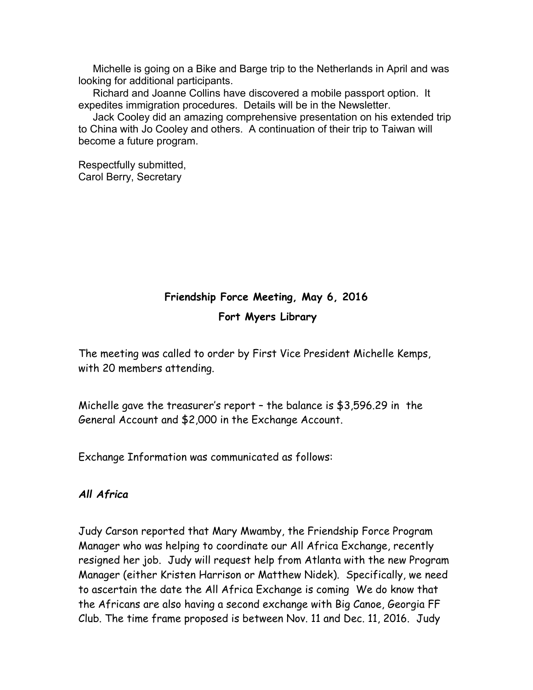Michelle is going on a Bike and Barge trip to the Netherlands in April and was looking for additional participants.

 Richard and Joanne Collins have discovered a mobile passport option. It expedites immigration procedures. Details will be in the Newsletter.

 Jack Cooley did an amazing comprehensive presentation on his extended trip to China with Jo Cooley and others. A continuation of their trip to Taiwan will become a future program.

Respectfully submitted, Carol Berry, Secretary

# **Friendship Force Meeting, May 6, 2016**

**Fort Myers Library**

The meeting was called to order by First Vice President Michelle Kemps, with 20 members attending.

Michelle gave the treasurer's report – the balance is \$3,596.29 in the General Account and \$2,000 in the Exchange Account.

Exchange Information was communicated as follows:

# *All Africa*

Judy Carson reported that Mary Mwamby, the Friendship Force Program Manager who was helping to coordinate our All Africa Exchange, recently resigned her job. Judy will request help from Atlanta with the new Program Manager (either Kristen Harrison or Matthew Nidek). Specifically, we need to ascertain the date the All Africa Exchange is coming We do know that the Africans are also having a second exchange with Big Canoe, Georgia FF Club. The time frame proposed is between Nov. 11 and Dec. 11, 2016. Judy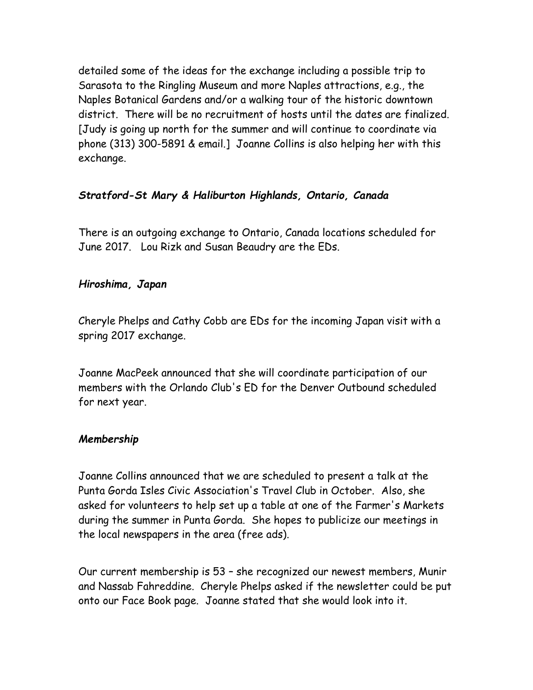detailed some of the ideas for the exchange including a possible trip to Sarasota to the Ringling Museum and more Naples attractions, e.g., the Naples Botanical Gardens and/or a walking tour of the historic downtown district. There will be no recruitment of hosts until the dates are finalized. [Judy is going up north for the summer and will continue to coordinate via phone (313) 300-5891 & email.] Joanne Collins is also helping her with this exchange.

# *Stratford-St Mary & Haliburton Highlands, Ontario, Canada*

There is an outgoing exchange to Ontario, Canada locations scheduled for June 2017. Lou Rizk and Susan Beaudry are the EDs.

# *Hiroshima, Japan*

Cheryle Phelps and Cathy Cobb are EDs for the incoming Japan visit with a spring 2017 exchange.

Joanne MacPeek announced that she will coordinate participation of our members with the Orlando Club's ED for the Denver Outbound scheduled for next year.

# *Membership*

Joanne Collins announced that we are scheduled to present a talk at the Punta Gorda Isles Civic Association's Travel Club in October. Also, she asked for volunteers to help set up a table at one of the Farmer's Markets during the summer in Punta Gorda. She hopes to publicize our meetings in the local newspapers in the area (free ads).

Our current membership is 53 – she recognized our newest members, Munir and Nassab Fahreddine. Cheryle Phelps asked if the newsletter could be put onto our Face Book page. Joanne stated that she would look into it.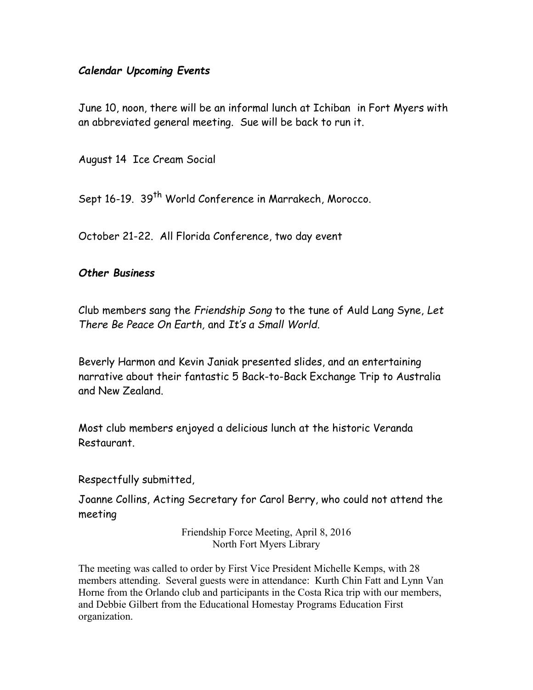# *Calendar Upcoming Events*

June 10, noon, there will be an informal lunch at Ichiban in Fort Myers with an abbreviated general meeting. Sue will be back to run it.

August 14 Ice Cream Social

Sept 16-19. 39<sup>th</sup> World Conference in Marrakech, Morocco.

October 21-22. All Florida Conference, two day event

# *Other Business*

Club members sang the *Friendship Song* to the tune of Auld Lang Syne, *Let There Be Peace On Earth,* and *It's a Small World*.

Beverly Harmon and Kevin Janiak presented slides, and an entertaining narrative about their fantastic 5 Back-to-Back Exchange Trip to Australia and New Zealand.

Most club members enjoyed a delicious lunch at the historic Veranda Restaurant.

Respectfully submitted,

Joanne Collins, Acting Secretary for Carol Berry, who could not attend the meeting

> Friendship Force Meeting, April 8, 2016 North Fort Myers Library

The meeting was called to order by First Vice President Michelle Kemps, with 28 members attending. Several guests were in attendance: Kurth Chin Fatt and Lynn Van Horne from the Orlando club and participants in the Costa Rica trip with our members, and Debbie Gilbert from the Educational Homestay Programs Education First organization.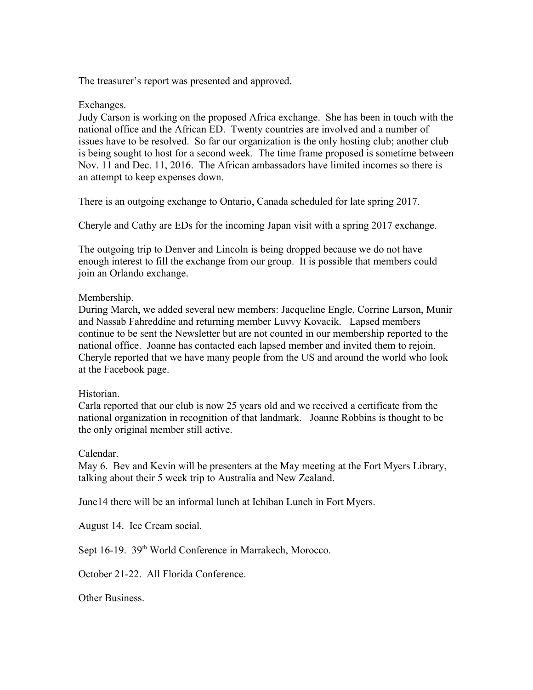The treasurer's report was presented and approved.

# Exchanges.

Judy Carson is working on the proposed Africa exchange. She has been in touch with the national office and the African ED. Twenty countries are involved and a number of issues have to be resolved. So far our organization is the only hosting club; another club is being sought to host for a second week. The time frame proposed is sometime between Nov. 11 and Dec. 11, 2016. The African ambassadors have limited incomes so there is an attempt to keep expenses down.

There is an outgoing exchange to Ontario, Canada scheduled for late spring 2017.

Cheryle and Cathy are EDs for the incoming Japan visit with a spring 2017 exchange.

The outgoing trip to Denver and Lincoln is being dropped because we do not have enough interest to fill the exchange from our group. It is possible that members could join an Orlando exchange.

# Membership.

During March, we added several new members: Jacqueline Engle, Corrine Larson, Munir and Nassab Fahreddine and returning member Luvvy Kovacik. Lapsed members continue to be sent the Newsletter but are not counted in our membership reported to the national office. Joanne has contacted each lapsed member and invited them to rejoin. Cheryle reported that we have many people from the US and around the world who look at the Facebook page.

# Historian.

Carla reported that our club is now 25 years old and we received a certificate from the national organization in recognition of that landmark. Joanne Robbins is thought to be the only original member still active.

# Calendar.

May 6. Bev and Kevin will be presenters at the May meeting at the Fort Myers Library, talking about their 5 week trip to Australia and New Zealand.

June14 there will be an informal lunch at Ichiban Lunch in Fort Myers.

August 14. Ice Cream social.

Sept 16-19. 39<sup>th</sup> World Conference in Marrakech, Morocco.

October 21-22. All Florida Conference.

Other Business.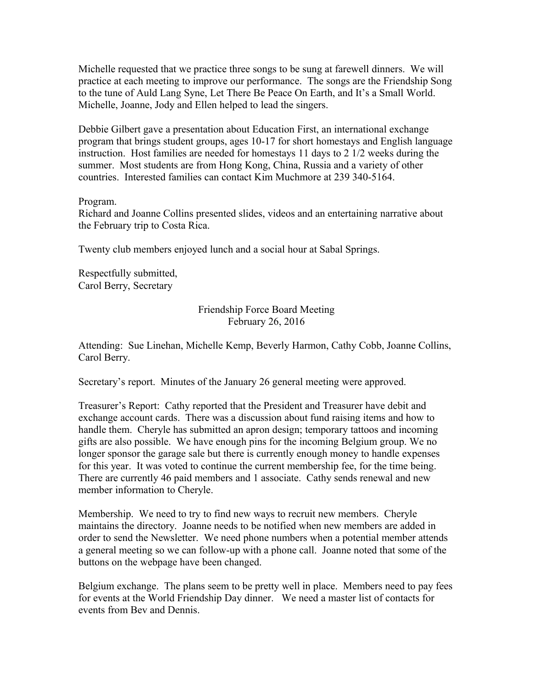Michelle requested that we practice three songs to be sung at farewell dinners. We will practice at each meeting to improve our performance. The songs are the Friendship Song to the tune of Auld Lang Syne, Let There Be Peace On Earth, and It's a Small World. Michelle, Joanne, Jody and Ellen helped to lead the singers.

Debbie Gilbert gave a presentation about Education First, an international exchange program that brings student groups, ages 10-17 for short homestays and English language instruction. Host families are needed for homestays 11 days to 2 1/2 weeks during the summer. Most students are from Hong Kong, China, Russia and a variety of other countries. Interested families can contact Kim Muchmore at 239 340-5164.

# Program.

Richard and Joanne Collins presented slides, videos and an entertaining narrative about the February trip to Costa Rica.

Twenty club members enjoyed lunch and a social hour at Sabal Springs.

Respectfully submitted, Carol Berry, Secretary

# Friendship Force Board Meeting February 26, 2016

Attending: Sue Linehan, Michelle Kemp, Beverly Harmon, Cathy Cobb, Joanne Collins, Carol Berry.

Secretary's report. Minutes of the January 26 general meeting were approved.

Treasurer's Report: Cathy reported that the President and Treasurer have debit and exchange account cards. There was a discussion about fund raising items and how to handle them. Cheryle has submitted an apron design; temporary tattoos and incoming gifts are also possible. We have enough pins for the incoming Belgium group. We no longer sponsor the garage sale but there is currently enough money to handle expenses for this year. It was voted to continue the current membership fee, for the time being. There are currently 46 paid members and 1 associate. Cathy sends renewal and new member information to Cheryle.

Membership. We need to try to find new ways to recruit new members. Cheryle maintains the directory. Joanne needs to be notified when new members are added in order to send the Newsletter. We need phone numbers when a potential member attends a general meeting so we can follow-up with a phone call. Joanne noted that some of the buttons on the webpage have been changed.

Belgium exchange. The plans seem to be pretty well in place. Members need to pay fees for events at the World Friendship Day dinner. We need a master list of contacts for events from Bev and Dennis.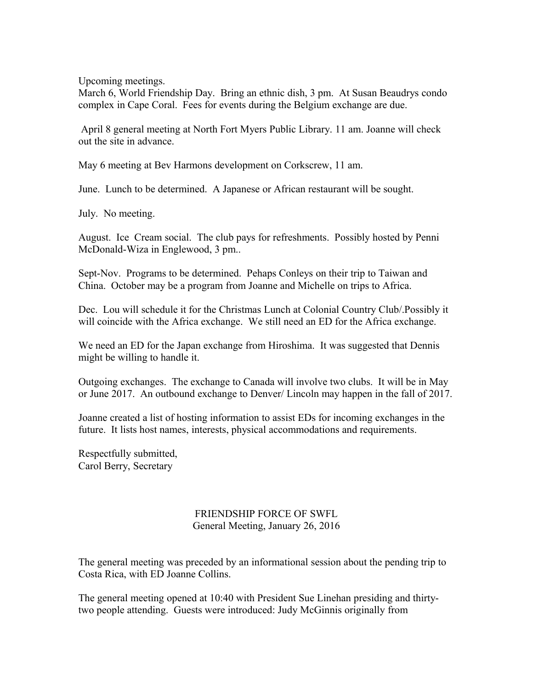Upcoming meetings.

March 6, World Friendship Day. Bring an ethnic dish, 3 pm. At Susan Beaudrys condo complex in Cape Coral. Fees for events during the Belgium exchange are due.

 April 8 general meeting at North Fort Myers Public Library. 11 am. Joanne will check out the site in advance.

May 6 meeting at Bev Harmons development on Corkscrew, 11 am.

June. Lunch to be determined. A Japanese or African restaurant will be sought.

July. No meeting.

August. Ice Cream social. The club pays for refreshments. Possibly hosted by Penni McDonald-Wiza in Englewood, 3 pm..

Sept-Nov. Programs to be determined. Pehaps Conleys on their trip to Taiwan and China. October may be a program from Joanne and Michelle on trips to Africa.

Dec. Lou will schedule it for the Christmas Lunch at Colonial Country Club/.Possibly it will coincide with the Africa exchange. We still need an ED for the Africa exchange.

We need an ED for the Japan exchange from Hiroshima. It was suggested that Dennis might be willing to handle it.

Outgoing exchanges. The exchange to Canada will involve two clubs. It will be in May or June 2017. An outbound exchange to Denver/ Lincoln may happen in the fall of 2017.

Joanne created a list of hosting information to assist EDs for incoming exchanges in the future. It lists host names, interests, physical accommodations and requirements.

Respectfully submitted, Carol Berry, Secretary

### FRIENDSHIP FORCE OF SWFL General Meeting, January 26, 2016

The general meeting was preceded by an informational session about the pending trip to Costa Rica, with ED Joanne Collins.

The general meeting opened at 10:40 with President Sue Linehan presiding and thirtytwo people attending. Guests were introduced: Judy McGinnis originally from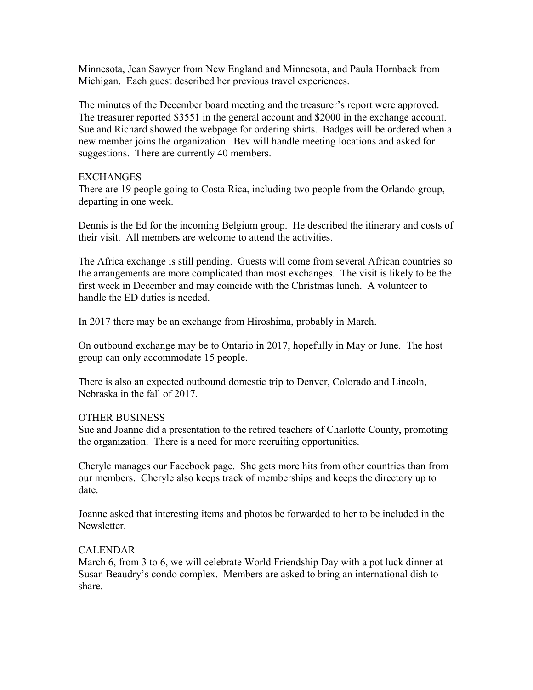Minnesota, Jean Sawyer from New England and Minnesota, and Paula Hornback from Michigan. Each guest described her previous travel experiences.

The minutes of the December board meeting and the treasurer's report were approved. The treasurer reported \$3551 in the general account and \$2000 in the exchange account. Sue and Richard showed the webpage for ordering shirts. Badges will be ordered when a new member joins the organization. Bev will handle meeting locations and asked for suggestions. There are currently 40 members.

### **EXCHANGES**

There are 19 people going to Costa Rica, including two people from the Orlando group, departing in one week.

Dennis is the Ed for the incoming Belgium group. He described the itinerary and costs of their visit. All members are welcome to attend the activities.

The Africa exchange is still pending. Guests will come from several African countries so the arrangements are more complicated than most exchanges. The visit is likely to be the first week in December and may coincide with the Christmas lunch. A volunteer to handle the ED duties is needed.

In 2017 there may be an exchange from Hiroshima, probably in March.

On outbound exchange may be to Ontario in 2017, hopefully in May or June. The host group can only accommodate 15 people.

There is also an expected outbound domestic trip to Denver, Colorado and Lincoln, Nebraska in the fall of 2017.

# OTHER BUSINESS

Sue and Joanne did a presentation to the retired teachers of Charlotte County, promoting the organization. There is a need for more recruiting opportunities.

Cheryle manages our Facebook page. She gets more hits from other countries than from our members. Cheryle also keeps track of memberships and keeps the directory up to date.

Joanne asked that interesting items and photos be forwarded to her to be included in the Newsletter.

#### CALENDAR

March 6, from 3 to 6, we will celebrate World Friendship Day with a pot luck dinner at Susan Beaudry's condo complex. Members are asked to bring an international dish to share.